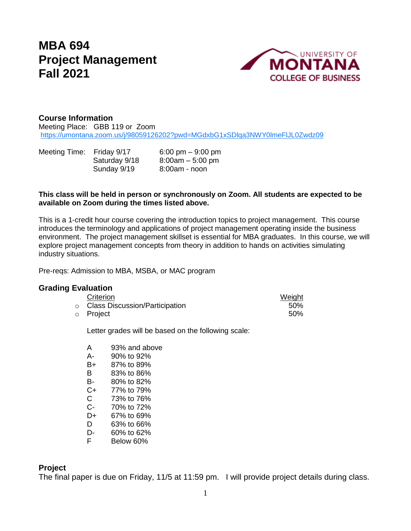# **MBA 694 Project Management Fall 2021**



## **Course Information**

Meeting Place: GBB 119 or Zoom <https://umontana.zoom.us/j/98059126202?pwd=MGdxbG1xSDlqa3NWY0lmeFlJL0Zwdz09>

Meeting Time: Friday 9/17 6:00 pm – 9:00 pm Saturday 9/18 8:00am – 5:00 pm Sunday 9/19 8:00am - noon

#### **This class will be held in person or synchronously on Zoom. All students are expected to be available on Zoom during the times listed above.**

This is a 1-credit hour course covering the introduction topics to project management. This course introduces the terminology and applications of project management operating inside the business environment. The project management skillset is essential for MBA graduates. In this course, we will explore project management concepts from theory in addition to hands on activities simulating industry situations.

Pre-reqs: Admission to MBA, MSBA, or MAC program

## **Grading Evaluation**

| Criterion                              | Weight |
|----------------------------------------|--------|
| $\circ$ Class Discussion/Participation | 50%    |
| ○ Project                              | 50%    |

Letter grades will be based on the following scale:

| А  | 93% and above |
|----|---------------|
| А- | 90% to 92%    |
| B+ | 87% to 89%    |
| R  | 83% to 86%    |
| B- | 80% to 82%    |
| C+ | 77% to 79%    |
| C. | 73% to 76%    |
| C- | 70% to 72%    |
| D+ | 67% to 69%    |
| D  | 63% to 66%    |
| D- | 60% to 62%    |
| F  | Below 60%     |
|    |               |

#### **Project**

The final paper is due on Friday, 11/5 at 11:59 pm. I will provide project details during class.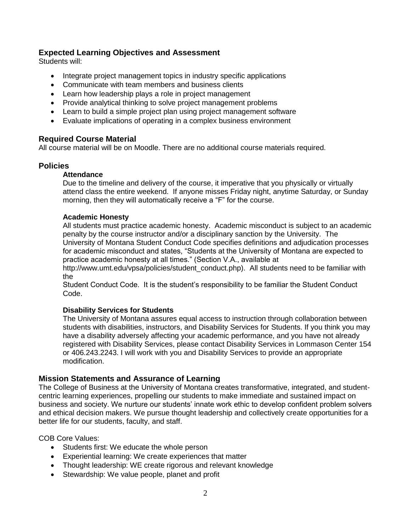## **Expected Learning Objectives and Assessment**

Students will:

- Integrate project management topics in industry specific applications
- Communicate with team members and business clients
- Learn how leadership plays a role in project management
- Provide analytical thinking to solve project management problems
- Learn to build a simple project plan using project management software
- Evaluate implications of operating in a complex business environment

## **Required Course Material**

All course material will be on Moodle. There are no additional course materials required.

## **Policies**

#### **Attendance**

Due to the timeline and delivery of the course, it imperative that you physically or virtually attend class the entire weekend. If anyone misses Friday night, anytime Saturday, or Sunday morning, then they will automatically receive a "F" for the course.

#### **Academic Honesty**

All students must practice academic honesty. Academic misconduct is subject to an academic penalty by the course instructor and/or a disciplinary sanction by the University. The University of Montana Student Conduct Code specifies definitions and adjudication processes for academic misconduct and states, "Students at the University of Montana are expected to practice academic honesty at all times." (Section V.A., available at

[http://www.umt.edu/vpsa/policies/student\\_conduct.php\)](http://www.umt.edu/vpsa/policies/student_conduct.php). All students need to be familiar with the

Student Conduct Code. It is the student's responsibility to be familiar the Student Conduct Code.

#### **[Disability Services for Students](http://www.umt.edu/dss/default.php)**

The University of Montana assures equal access to instruction through collaboration between students with disabilities, instructors, and Disability Services for Students. If you think you may have a disability adversely affecting your academic performance, and you have not already registered with Disability Services, please contact Disability Services in Lommason Center 154 or 406.243.2243. I will work with you and Disability Services to provide an appropriate modification.

#### **Mission Statements and Assurance of Learning**

The College of Business at the University of Montana creates transformative, integrated, and studentcentric learning experiences, propelling our students to make immediate and sustained impact on business and society. We nurture our students' innate work ethic to develop confident problem solvers and ethical decision makers. We pursue thought leadership and collectively create opportunities for a better life for our students, faculty, and staff.

COB Core Values:

- Students first: We educate the whole person
- Experiential learning: We create experiences that matter
- Thought leadership: WE create rigorous and relevant knowledge
- Stewardship: We value people, planet and profit